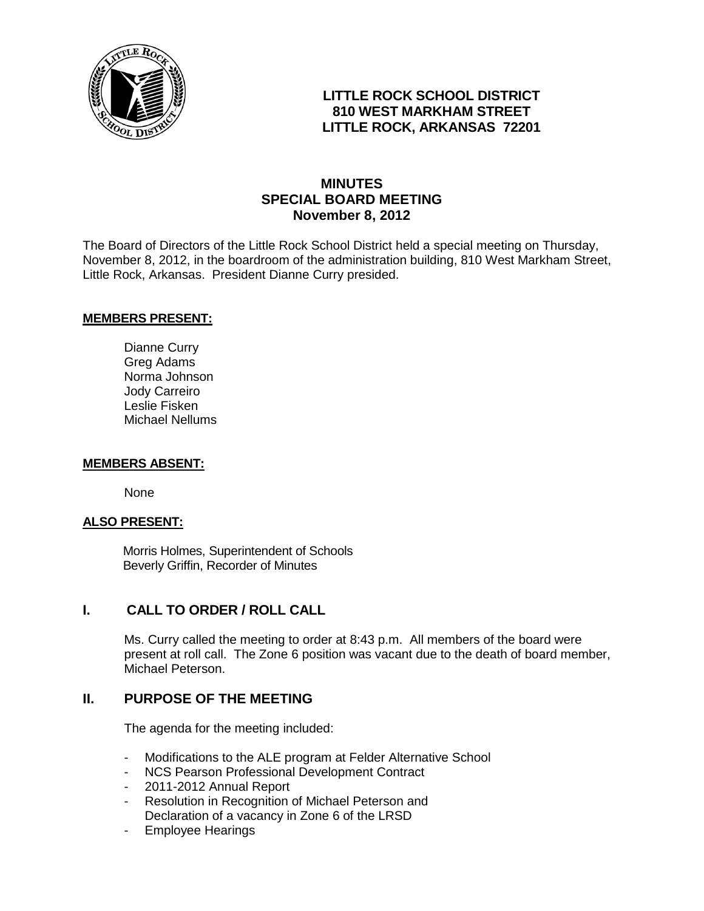

# **LITTLE ROCK SCHOOL DISTRICT 810 WEST MARKHAM STREET LITTLE ROCK, ARKANSAS 72201**

# **MINUTES SPECIAL BOARD MEETING November 8, 2012**

The Board of Directors of the Little Rock School District held a special meeting on Thursday, November 8, 2012, in the boardroom of the administration building, 810 West Markham Street, Little Rock, Arkansas. President Dianne Curry presided.

### **MEMBERS PRESENT:**

Dianne Curry Greg Adams Norma Johnson Jody Carreiro Leslie Fisken Michael Nellums

#### **MEMBERS ABSENT:**

None

## **ALSO PRESENT:**

 Morris Holmes, Superintendent of Schools Beverly Griffin, Recorder of Minutes

# **I. CALL TO ORDER / ROLL CALL**

Ms. Curry called the meeting to order at 8:43 p.m. All members of the board were present at roll call. The Zone 6 position was vacant due to the death of board member, Michael Peterson.

# **II. PURPOSE OF THE MEETING**

The agenda for the meeting included:

- Modifications to the ALE program at Felder Alternative School
- NCS Pearson Professional Development Contract
- 2011-2012 Annual Report
- Resolution in Recognition of Michael Peterson and Declaration of a vacancy in Zone 6 of the LRSD
- Employee Hearings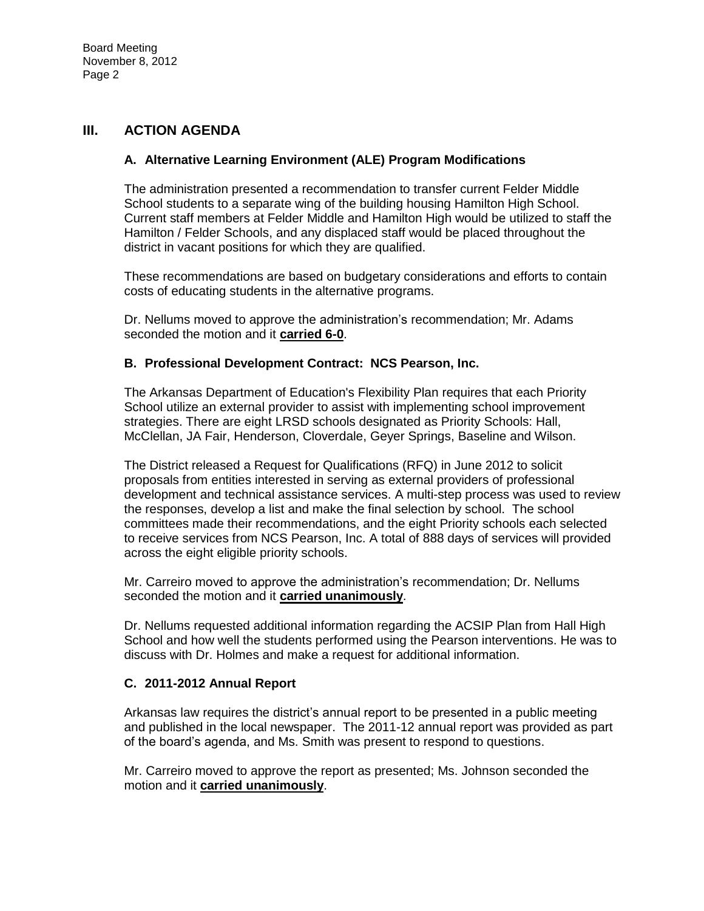## **III. ACTION AGENDA**

### **A. Alternative Learning Environment (ALE) Program Modifications**

The administration presented a recommendation to transfer current Felder Middle School students to a separate wing of the building housing Hamilton High School. Current staff members at Felder Middle and Hamilton High would be utilized to staff the Hamilton / Felder Schools, and any displaced staff would be placed throughout the district in vacant positions for which they are qualified.

These recommendations are based on budgetary considerations and efforts to contain costs of educating students in the alternative programs.

Dr. Nellums moved to approve the administration's recommendation; Mr. Adams seconded the motion and it **carried 6-0**.

### **B. Professional Development Contract: NCS Pearson, Inc.**

The Arkansas Department of Education's Flexibility Plan requires that each Priority School utilize an external provider to assist with implementing school improvement strategies. There are eight LRSD schools designated as Priority Schools: Hall, McClellan, JA Fair, Henderson, Cloverdale, Geyer Springs, Baseline and Wilson.

The District released a Request for Qualifications (RFQ) in June 2012 to solicit proposals from entities interested in serving as external providers of professional development and technical assistance services. A multi-step process was used to review the responses, develop a list and make the final selection by school. The school committees made their recommendations, and the eight Priority schools each selected to receive services from NCS Pearson, Inc. A total of 888 days of services will provided across the eight eligible priority schools.

Mr. Carreiro moved to approve the administration's recommendation; Dr. Nellums seconded the motion and it **carried unanimously**.

Dr. Nellums requested additional information regarding the ACSIP Plan from Hall High School and how well the students performed using the Pearson interventions. He was to discuss with Dr. Holmes and make a request for additional information.

### **C. 2011-2012 Annual Report**

Arkansas law requires the district's annual report to be presented in a public meeting and published in the local newspaper. The 2011-12 annual report was provided as part of the board's agenda, and Ms. Smith was present to respond to questions.

Mr. Carreiro moved to approve the report as presented; Ms. Johnson seconded the motion and it **carried unanimously**.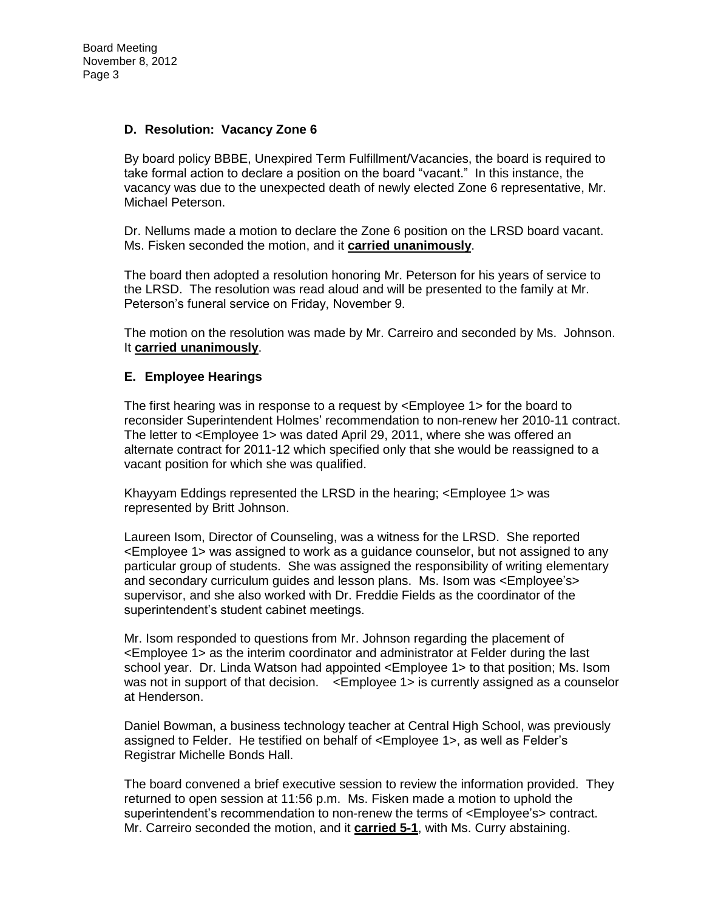### **D. Resolution: Vacancy Zone 6**

By board policy BBBE, Unexpired Term Fulfillment/Vacancies, the board is required to take formal action to declare a position on the board "vacant." In this instance, the vacancy was due to the unexpected death of newly elected Zone 6 representative, Mr. Michael Peterson.

Dr. Nellums made a motion to declare the Zone 6 position on the LRSD board vacant. Ms. Fisken seconded the motion, and it **carried unanimously**.

The board then adopted a resolution honoring Mr. Peterson for his years of service to the LRSD. The resolution was read aloud and will be presented to the family at Mr. Peterson's funeral service on Friday, November 9.

The motion on the resolution was made by Mr. Carreiro and seconded by Ms. Johnson. It **carried unanimously**.

### **E. Employee Hearings**

The first hearing was in response to a request by <Employee 1> for the board to reconsider Superintendent Holmes' recommendation to non-renew her 2010-11 contract. The letter to <Employee 1> was dated April 29, 2011, where she was offered an alternate contract for 2011-12 which specified only that she would be reassigned to a vacant position for which she was qualified.

Khayyam Eddings represented the LRSD in the hearing; <Employee 1> was represented by Britt Johnson.

Laureen Isom, Director of Counseling, was a witness for the LRSD. She reported <Employee 1> was assigned to work as a guidance counselor, but not assigned to any particular group of students. She was assigned the responsibility of writing elementary and secondary curriculum guides and lesson plans. Ms. Isom was <Employee's> supervisor, and she also worked with Dr. Freddie Fields as the coordinator of the superintendent's student cabinet meetings.

Mr. Isom responded to questions from Mr. Johnson regarding the placement of <Employee 1> as the interim coordinator and administrator at Felder during the last school year. Dr. Linda Watson had appointed <Employee 1> to that position; Ms. Isom was not in support of that decision.  $\leq$ Employee 1> is currently assigned as a counselor at Henderson.

Daniel Bowman, a business technology teacher at Central High School, was previously assigned to Felder. He testified on behalf of <Employee 1>, as well as Felder's Registrar Michelle Bonds Hall.

The board convened a brief executive session to review the information provided. They returned to open session at 11:56 p.m. Ms. Fisken made a motion to uphold the superintendent's recommendation to non-renew the terms of <Employee's> contract. Mr. Carreiro seconded the motion, and it **carried 5-1**, with Ms. Curry abstaining.